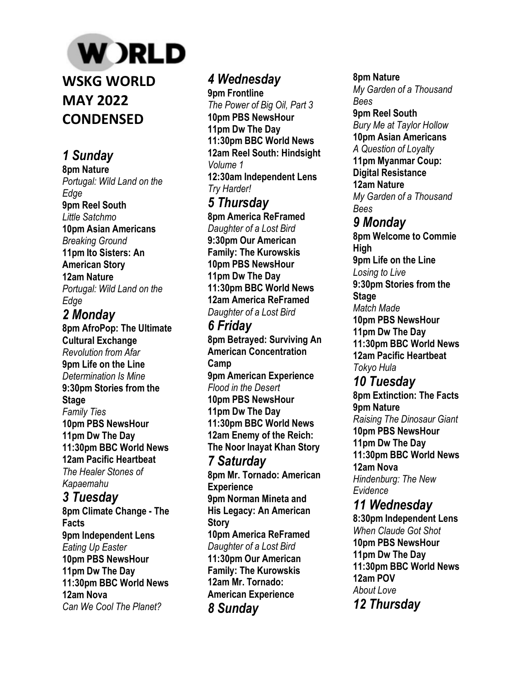# **W** )RLD

**WSKG WORLD MAY 2022 CONDENSED**

## *1 Sunday*

**8pm Nature**  *Portugal: Wild Land on the Edge*  **9pm Reel South**  *Little Satchmo*  **10pm Asian Americans**  *Breaking Ground*  **11pm Ito Sisters: An American Story 12am Nature**  *Portugal: Wild Land on the Edge* 

*2 Monday*  **8pm AfroPop: The Ultimate Cultural Exchange**  *Revolution from Afar*  **9pm Life on the Line**  *Determination Is Mine*  **9:30pm Stories from the Stage**  *Family Ties*  **10pm PBS NewsHour 11pm Dw The Day 11:30pm BBC World News 12am Pacific Heartbeat**  *The Healer Stones of Kapaemahu 3 Tuesday* 

**8pm Climate Change - The Facts 9pm Independent Lens**  *Eating Up Easter*  **10pm PBS NewsHour 11pm Dw The Day 11:30pm BBC World News 12am Nova**  *Can We Cool The Planet?* 

### *4 Wednesday*

**9pm Frontline**  *The Power of Big Oil, Part 3*  **10pm PBS NewsHour 11pm Dw The Day 11:30pm BBC World News 12am Reel South: Hindsight**  *Volume 1*  **12:30am Independent Lens**  *Try Harder! 5 Thursday*  **8pm America ReFramed** 

*Daughter of a Lost Bird*  **9:30pm Our American Family: The Kurowskis 10pm PBS NewsHour 11pm Dw The Day 11:30pm BBC World News 12am America ReFramed**  *Daughter of a Lost Bird* 

## *6 Friday*

**8pm Betrayed: Surviving An American Concentration Camp 9pm American Experience**  *Flood in the Desert*  **10pm PBS NewsHour 11pm Dw The Day 11:30pm BBC World News 12am Enemy of the Reich: The Noor Inayat Khan Story**  *7 Saturday*  **8pm Mr. Tornado: American Experience 9pm Norman Mineta and His Legacy: An American Story 10pm America ReFramed**  *Daughter of a Lost Bird*  **11:30pm Our American Family: The Kurowskis 12am Mr. Tornado: American Experience**  *8 Sunday* 

**8pm Nature**  *My Garden of a Thousand Bees*  **9pm Reel South**  *Bury Me at Taylor Hollow*  **10pm Asian Americans**  *A Question of Loyalty*  **11pm Myanmar Coup: Digital Resistance 12am Nature**  *My Garden of a Thousand Bees 9 Monday*  **8pm Welcome to Commie High 9pm Life on the Line**

**9:30pm Stories from the** 

*Losing to Live* 

**Stage**  *Match Made*  **10pm PBS NewsHour 11pm Dw The Day 11:30pm BBC World News 12am Pacific Heartbeat**  *Tokyo Hula 10 Tuesday*  **8pm Extinction: The Facts 9pm Nature**  *Raising The Dinosaur Giant*  **10pm PBS NewsHour 11pm Dw The Day 11:30pm BBC World News 12am Nova**  *Hindenburg: The New* 

*Evidence 11 Wednesday*  **8:30pm Independent Lens**  *When Claude Got Shot*  **10pm PBS NewsHour 11pm Dw The Day 11:30pm BBC World News 12am POV**  *About Love 12 Thursday*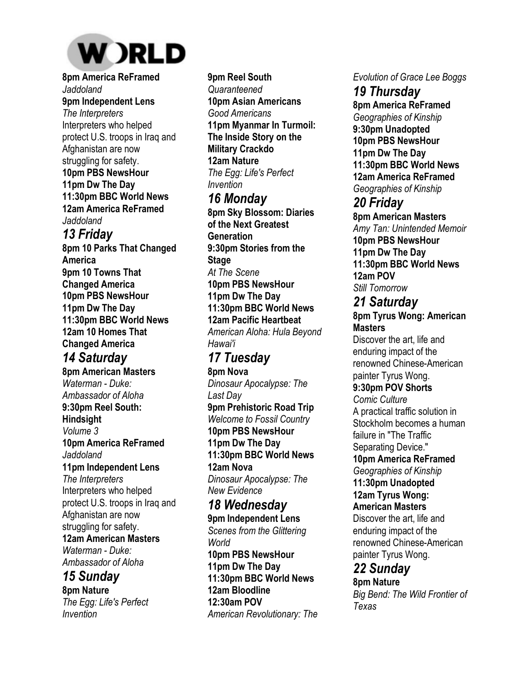

**8pm America ReFramed**  *Jaddoland*  **9pm Independent Lens**  *The Interpreters*  Interpreters who helped protect U.S. troops in Iraq and Afghanistan are now struggling for safety. **10pm PBS NewsHour 11pm Dw The Day 11:30pm BBC World News 12am America ReFramed**  *Jaddoland* 

#### *13 Friday*

**8pm 10 Parks That Changed America 9pm 10 Towns That Changed America 10pm PBS NewsHour 11pm Dw The Day 11:30pm BBC World News 12am 10 Homes That Changed America** 

## *14 Saturday*

**8pm American Masters**  *Waterman - Duke: Ambassador of Aloha*  **9:30pm Reel South: Hindsight**  *Volume 3*  **10pm America ReFramed**  *Jaddoland*  **11pm Independent Lens**  *The Interpreters*  Interpreters who helped protect U.S. troops in Iraq and Afghanistan are now struggling for safety. **12am American Masters**  *Waterman - Duke: Ambassador of Aloha* 

#### *15 Sunday*

**8pm Nature**  *The Egg: Life's Perfect Invention* 

**9pm Reel South**  *Quaranteened*  **10pm Asian Americans**  *Good Americans*  **11pm Myanmar In Turmoil: The Inside Story on the Military Crackdo 12am Nature**  *The Egg: Life's Perfect Invention* 

## *16 Monday*

**8pm Sky Blossom: Diaries of the Next Greatest Generation 9:30pm Stories from the Stage**  *At The Scene*  **10pm PBS NewsHour 11pm Dw The Day 11:30pm BBC World News 12am Pacific Heartbeat**  *American Aloha: Hula Beyond Hawai'i* 

## *17 Tuesday*

**8pm Nova**  *Dinosaur Apocalypse: The Last Day*  **9pm Prehistoric Road Trip**  *Welcome to Fossil Country*  **10pm PBS NewsHour 11pm Dw The Day 11:30pm BBC World News 12am Nova**  *Dinosaur Apocalypse: The New Evidence 18 Wednesday*  **9pm Independent Lens**  *Scenes from the Glittering World*  **10pm PBS NewsHour** 

**11pm Dw The Day 11:30pm BBC World News 12am Bloodline 12:30am POV**  *American Revolutionary: The*  *Evolution of Grace Lee Boggs* 

*19 Thursday*  **8pm America ReFramed**  *Geographies of Kinship*  **9:30pm Unadopted 10pm PBS NewsHour 11pm Dw The Day 11:30pm BBC World News 12am America ReFramed**  *Geographies of Kinship* 

#### *20 Friday*

**8pm American Masters**  *Amy Tan: Unintended Memoir*  **10pm PBS NewsHour 11pm Dw The Day 11:30pm BBC World News 12am POV**  *Still Tomorrow* 

#### *21 Saturday*

**8pm Tyrus Wong: American Masters** 

Discover the art, life and enduring impact of the renowned Chinese-American painter Tyrus Wong.

**9:30pm POV Shorts**  *Comic Culture* 

A practical traffic solution in Stockholm becomes a human failure in "The Traffic Separating Device." **10pm America ReFramed**  *Geographies of Kinship* 

**11:30pm Unadopted 12am Tyrus Wong: American Masters** 

Discover the art, life and enduring impact of the renowned Chinese-American painter Tyrus Wong.

#### *22 Sunday*

**8pm Nature**  *Big Bend: The Wild Frontier of Texas*